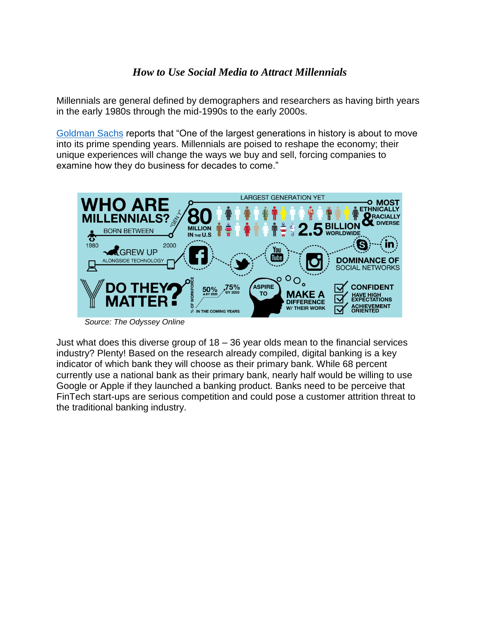## *How to Use Social Media to Attract Millennials*

Millennials are general defined by demographers and researchers as having birth years in the early 1980s through the mid-1990s to the early 2000s.

[Goldman Sachs](http://www.goldmansachs.com/our-thinking/pages/millennials/) reports that "One of the largest generations in history is about to move into its prime spending years. Millennials are poised to reshape the economy; their unique experiences will change the ways we buy and sell, forcing companies to examine how they do business for decades to come."



*Source: The Odyssey Online*

Just what does this diverse group of 18 – 36 year olds mean to the financial services industry? Plenty! Based on the research already compiled, digital banking is a key indicator of which bank they will choose as their primary bank. While 68 percent currently use a national bank as their primary bank, nearly half would be willing to use Google or Apple if they launched a banking product. Banks need to be perceive that FinTech start-ups are serious competition and could pose a customer attrition threat to the traditional banking industry.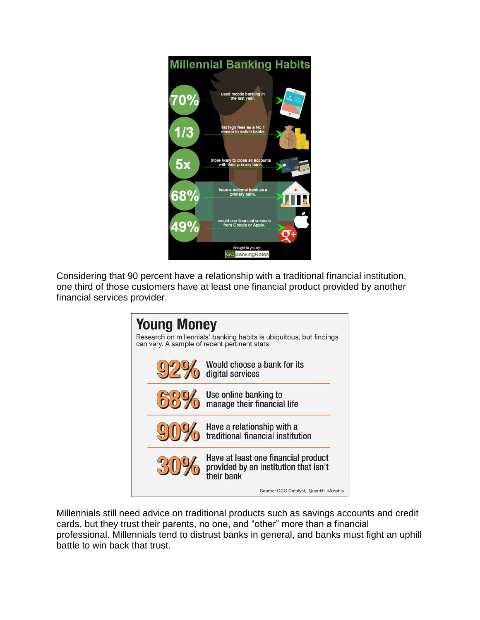

Considering that 90 percent have a relationship with a traditional financial institution, one third of those customers have at least one financial product provided by another financial services provider.



Millennials still need advice on traditional products such as savings accounts and credit cards, but they trust their parents, no one, and "other" more than a financial professional. Millennials tend to distrust banks in general, and banks must fight an uphill battle to win back that trust.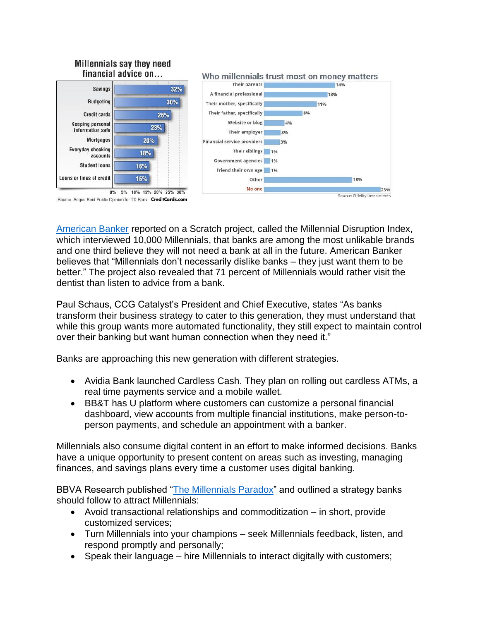## Millennials say they need financial advice on...



[American Banker](https://www.americanbanker.com/news/what-do-millennials-want-from-banks-everything-nothing-whatever) reported on a Scratch project, called the Millennial Disruption Index, which interviewed 10,000 Millennials, that banks are among the most unlikable brands and one third believe they will not need a bank at all in the future. American Banker believes that "Millennials don't necessarily dislike banks – they just want them to be better." The project also revealed that 71 percent of Millennials would rather visit the dentist than listen to advice from a bank.

Paul Schaus, CCG Catalyst's President and Chief Executive, states "As banks transform their business strategy to cater to this generation, they must understand that while this group wants more automated functionality, they still expect to maintain control over their banking but want human connection when they need it."

Banks are approaching this new generation with different strategies.

- Avidia Bank launched Cardless Cash. They plan on rolling out cardless ATMs, a real time payments service and a mobile wallet.
- BB&T has U platform where customers can customize a personal financial dashboard, view accounts from multiple financial institutions, make person-toperson payments, and schedule an appointment with a banker.

Millennials also consume digital content in an effort to make informed decisions. Banks have a unique opportunity to present content on areas such as investing, managing finances, and savings plans every time a customer uses digital banking.

BBVA Research published ["The Millennials](https://www.bbvaresearch.com/wp-content/uploads/2014/12/141216_US_BW_BankMillennials.pdf) Paradox" and outlined a strategy banks should follow to attract Millennials:

- Avoid transactional relationships and commoditization in short, provide customized services;
- Turn Millennials into your champions seek Millennials feedback, listen, and respond promptly and personally;
- Speak their language hire Millennials to interact digitally with customers;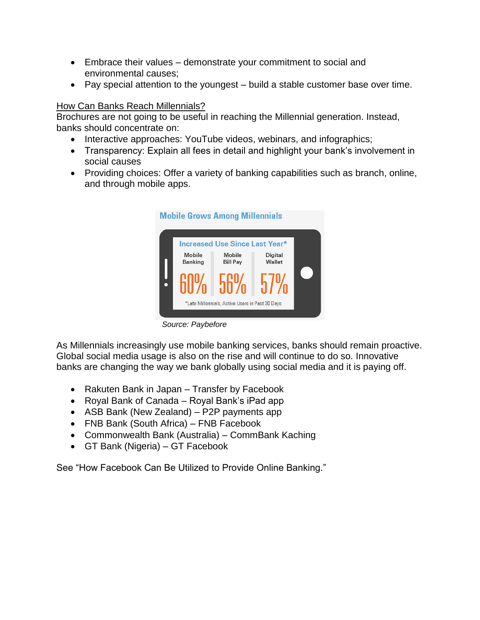- Embrace their values demonstrate your commitment to social and environmental causes;
- Pay special attention to the youngest build a stable customer base over time.

## How Can Banks Reach Millennials?

Brochures are not going to be useful in reaching the Millennial generation. Instead, banks should concentrate on:

- Interactive approaches: YouTube videos, webinars, and infographics;
- Transparency: Explain all fees in detail and highlight your bank's involvement in social causes
- Providing choices: Offer a variety of banking capabilities such as branch, online, and through mobile apps.



*Source: Paybefore*

As Millennials increasingly use mobile banking services, banks should remain proactive. Global social media usage is also on the rise and will continue to do so. Innovative banks are changing the way we bank globally using social media and it is paying off.

- Rakuten Bank in Japan Transfer by Facebook
- Royal Bank of Canada Royal Bank's iPad app
- ASB Bank (New Zealand) P2P payments app
- FNB Bank (South Africa) FNB Facebook
- Commonwealth Bank (Australia) CommBank Kaching
- GT Bank (Nigeria) GT Facebook

See "How Facebook Can Be Utilized to Provide Online Banking."